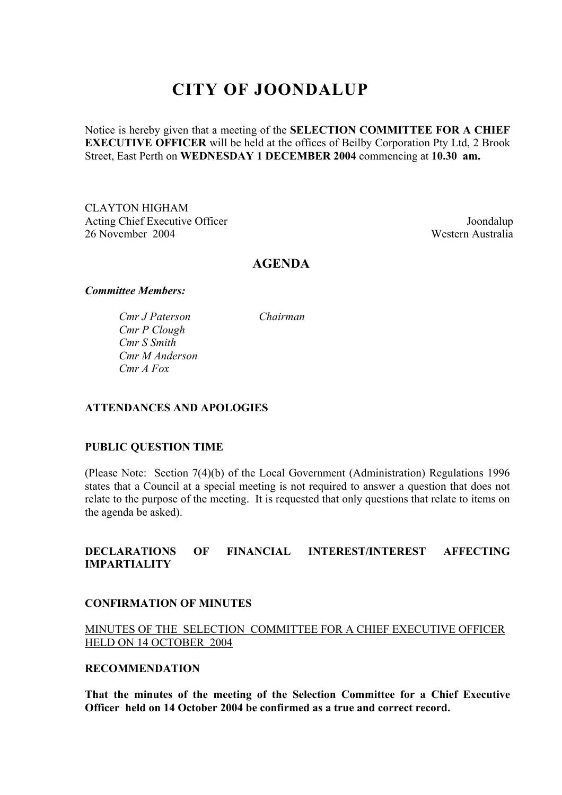# **CITY OF JOONDALUP**

Notice is hereby given that a meeting of the **SELECTION COMMITTEE FOR A CHIEF EXECUTIVE OFFICER** will be held at the offices of Beilby Corporation Pty Ltd, 2 Brook Street, East Perth on **WEDNESDAY 1 DECEMBER 2004** commencing at **10.30 am.** 

CLAYTON HIGHAM Acting Chief Executive Officer Joondalup 26 November 2004 Western Australia

## **AGENDA**

#### *Committee Members:*

*Cmr J Paterson Chairman Cmr P Clough Cmr S Smith Cmr M Anderson Cmr A Fox* 

## **ATTENDANCES AND APOLOGIES**

#### **PUBLIC QUESTION TIME**

(Please Note: Section 7(4)(b) of the Local Government (Administration) Regulations 1996 states that a Council at a special meeting is not required to answer a question that does not relate to the purpose of the meeting. It is requested that only questions that relate to items on the agenda be asked).

## **DECLARATIONS OF FINANCIAL INTEREST/INTEREST AFFECTING IMPARTIALITY**

#### **CONFIRMATION OF MINUTES**

## MINUTES OF THE SELECTION COMMITTEE FOR A CHIEF EXECUTIVE OFFICER HELD ON 14 OCTOBER 2004

## **RECOMMENDATION**

**That the minutes of the meeting of the Selection Committee for a Chief Executive Officer held on 14 October 2004 be confirmed as a true and correct record.**